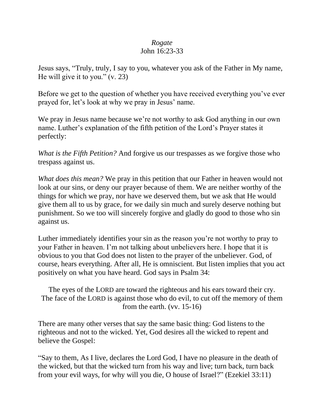## *Rogate* John 16:23-33

Jesus says, "Truly, truly, I say to you, whatever you ask of the Father in My name, He will give it to you." (v. 23)

Before we get to the question of whether you have received everything you've ever prayed for, let's look at why we pray in Jesus' name.

We pray in Jesus name because we're not worthy to ask God anything in our own name. Luther's explanation of the fifth petition of the Lord's Prayer states it perfectly:

*What is the Fifth Petition?* And forgive us our trespasses as we forgive those who trespass against us.

*What does this mean?* We pray in this petition that our Father in heaven would not look at our sins, or deny our prayer because of them. We are neither worthy of the things for which we pray, nor have we deserved them, but we ask that He would give them all to us by grace, for we daily sin much and surely deserve nothing but punishment. So we too will sincerely forgive and gladly do good to those who sin against us.

Luther immediately identifies your sin as the reason you're not worthy to pray to your Father in heaven. I'm not talking about unbelievers here. I hope that it is obvious to you that God does not listen to the prayer of the unbeliever. God, of course, hears everything. After all, He is omniscient. But listen implies that you act positively on what you have heard. God says in Psalm 34:

The eyes of the LORD are toward the righteous and his ears toward their cry. The face of the LORD is against those who do evil, to cut off the memory of them from the earth. (vv. 15-16)

There are many other verses that say the same basic thing: God listens to the righteous and not to the wicked. Yet, God desires all the wicked to repent and believe the Gospel:

"Say to them, As I live, declares the Lord God, I have no pleasure in the death of the wicked, but that the wicked turn from his way and live; turn back, turn back from your evil ways, for why will you die, O house of Israel?" (Ezekiel 33:11)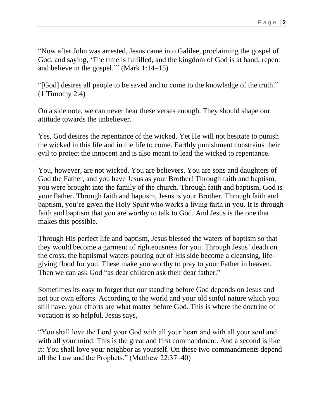"Now after John was arrested, Jesus came into Galilee, proclaiming the gospel of God, and saying, 'The time is fulfilled, and the kingdom of God is at hand; repent and believe in the gospel.'" (Mark 1:14–15)

"[God] desires all people to be saved and to come to the knowledge of the truth." (1 Timothy 2:4)

On a side note, we can never hear these verses enough. They should shape our attitude towards the unbeliever.

Yes. God desires the repentance of the wicked. Yet He will not hesitate to punish the wicked in this life and in the life to come. Earthly punishment constrains their evil to protect the innocent and is also meant to lead the wicked to repentance.

You, however, are not wicked. You are believers. You are sons and daughters of God the Father, and you have Jesus as your Brother! Through faith and baptism, you were brought into the family of the church. Through faith and baptism, God is your Father. Through faith and baptism, Jesus is your Brother. Through faith and baptism, you're given the Holy Spirit who works a living faith in you. It is through faith and baptism that you are worthy to talk to God. And Jesus is the one that makes this possible.

Through His perfect life and baptism, Jesus blessed the waters of baptism so that they would become a garment of righteousness for you. Through Jesus' death on the cross, the baptismal waters pouring out of His side become a cleansing, lifegiving flood for you. These make you worthy to pray to your Father in heaven. Then we can ask God "as dear children ask their dear father."

Sometimes its easy to forget that our standing before God depends on Jesus and not our own efforts. According to the world and your old sinful nature which you still have, your efforts are what matter before God. This is where the doctrine of vocation is so helpful. Jesus says,

"You shall love the Lord your God with all your heart and with all your soul and with all your mind. This is the great and first commandment. And a second is like it: You shall love your neighbor as yourself. On these two commandments depend all the Law and the Prophets." (Matthew 22:37–40)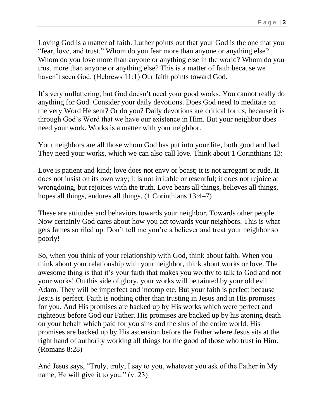Loving God is a matter of faith. Luther points out that your God is the one that you "fear, love, and trust." Whom do you fear more than anyone or anything else? Whom do you love more than anyone or anything else in the world? Whom do you trust more than anyone or anything else? This is a matter of faith because we haven't seen God. (Hebrews 11:1) Our faith points toward God.

It's very unflattering, but God doesn't need your good works. You cannot really do anything for God. Consider your daily devotions. Does God need to meditate on the very Word He sent? Or do you? Daily devotions are critical for us, because it is through God's Word that we have our existence in Him. But your neighbor does need your work. Works is a matter with your neighbor.

Your neighbors are all those whom God has put into your life, both good and bad. They need your works, which we can also call love. Think about 1 Corinthians 13:

Love is patient and kind; love does not envy or boast; it is not arrogant or rude. It does not insist on its own way; it is not irritable or resentful; it does not rejoice at wrongdoing, but rejoices with the truth. Love bears all things, believes all things, hopes all things, endures all things. (1 Corinthians 13:4–7)

These are attitudes and behaviors towards your neighbor. Towards other people. Now certainly God cares about how you act towards your neighbors. This is what gets James so riled up. Don't tell me you're a believer and treat your neighbor so poorly!

So, when you think of your relationship with God, think about faith. When you think about your relationship with your neighbor, think about works or love. The awesome thing is that it's your faith that makes you worthy to talk to God and not your works! On this side of glory, your works will be tainted by your old evil Adam. They will be imperfect and incomplete. But your faith is perfect because Jesus is perfect. Faith is nothing other than trusting in Jesus and in His promises for you. And His promises are backed up by His works which were perfect and righteous before God our Father. His promises are backed up by his atoning death on your behalf which paid for you sins and the sins of the entire world. His promises are backed up by His ascension before the Father where Jesus sits at the right hand of authority working all things for the good of those who trust in Him. (Romans 8:28)

And Jesus says, "Truly, truly, I say to you, whatever you ask of the Father in My name, He will give it to you." (v. 23)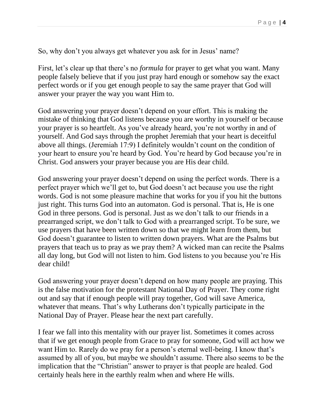So, why don't you always get whatever you ask for in Jesus' name?

First, let's clear up that there's no *formula* for prayer to get what you want. Many people falsely believe that if you just pray hard enough or somehow say the exact perfect words or if you get enough people to say the same prayer that God will answer your prayer the way you want Him to.

God answering your prayer doesn't depend on your effort. This is making the mistake of thinking that God listens because you are worthy in yourself or because your prayer is so heartfelt. As you've already heard, you're not worthy in and of yourself. And God says through the prophet Jeremiah that your heart is deceitful above all things. (Jeremiah 17:9) I definitely wouldn't count on the condition of your heart to ensure you're heard by God. You're heard by God because you're in Christ. God answers your prayer because you are His dear child.

God answering your prayer doesn't depend on using the perfect words. There is a perfect prayer which we'll get to, but God doesn't act because you use the right words. God is not some pleasure machine that works for you if you hit the buttons just right. This turns God into an automaton. God is personal. That is, He is one God in three persons. God is personal. Just as we don't talk to our friends in a prearranged script, we don't talk to God with a prearranged script. To be sure, we use prayers that have been written down so that we might learn from them, but God doesn't guarantee to listen to written down prayers. What are the Psalms but prayers that teach us to pray as we pray them? A wicked man can recite the Psalms all day long, but God will not listen to him. God listens to you because you're His dear child!

God answering your prayer doesn't depend on how many people are praying. This is the false motivation for the protestant National Day of Prayer. They come right out and say that if enough people will pray together, God will save America, whatever that means. That's why Lutherans don't typically participate in the National Day of Prayer. Please hear the next part carefully.

I fear we fall into this mentality with our prayer list. Sometimes it comes across that if we get enough people from Grace to pray for someone, God will act how we want Him to. Rarely do we pray for a person's eternal well-being. I know that's assumed by all of you, but maybe we shouldn't assume. There also seems to be the implication that the "Christian" answer to prayer is that people are healed. God certainly heals here in the earthly realm when and where He wills.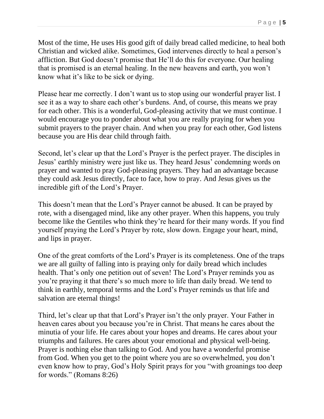Most of the time, He uses His good gift of daily bread called medicine, to heal both Christian and wicked alike. Sometimes, God intervenes directly to heal a person's affliction. But God doesn't promise that He'll do this for everyone. Our healing that is promised is an eternal healing. In the new heavens and earth, you won't know what it's like to be sick or dying.

Please hear me correctly. I don't want us to stop using our wonderful prayer list. I see it as a way to share each other's burdens. And, of course, this means we pray for each other. This is a wonderful, God-pleasing activity that we must continue. I would encourage you to ponder about what you are really praying for when you submit prayers to the prayer chain. And when you pray for each other, God listens because you are His dear child through faith.

Second, let's clear up that the Lord's Prayer is the perfect prayer. The disciples in Jesus' earthly ministry were just like us. They heard Jesus' condemning words on prayer and wanted to pray God-pleasing prayers. They had an advantage because they could ask Jesus directly, face to face, how to pray. And Jesus gives us the incredible gift of the Lord's Prayer.

This doesn't mean that the Lord's Prayer cannot be abused. It can be prayed by rote, with a disengaged mind, like any other prayer. When this happens, you truly become like the Gentiles who think they're heard for their many words. If you find yourself praying the Lord's Prayer by rote, slow down. Engage your heart, mind, and lips in prayer.

One of the great comforts of the Lord's Prayer is its completeness. One of the traps we are all guilty of falling into is praying only for daily bread which includes health. That's only one petition out of seven! The Lord's Prayer reminds you as you're praying it that there's so much more to life than daily bread. We tend to think in earthly, temporal terms and the Lord's Prayer reminds us that life and salvation are eternal things!

Third, let's clear up that that Lord's Prayer isn't the only prayer. Your Father in heaven cares about you because you're in Christ. That means he cares about the minutia of your life. He cares about your hopes and dreams. He cares about your triumphs and failures. He cares about your emotional and physical well-being. Prayer is nothing else than talking to God. And you have a wonderful promise from God. When you get to the point where you are so overwhelmed, you don't even know how to pray, God's Holy Spirit prays for you "with groanings too deep for words." (Romans 8:26)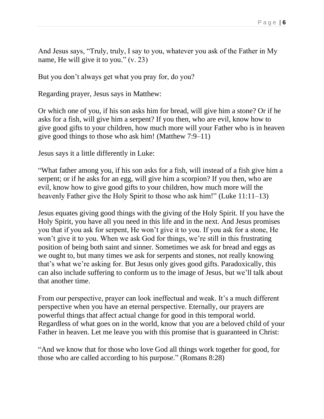And Jesus says, "Truly, truly, I say to you, whatever you ask of the Father in My name, He will give it to you." (v. 23)

But you don't always get what you pray for, do you?

Regarding prayer, Jesus says in Matthew:

Or which one of you, if his son asks him for bread, will give him a stone? Or if he asks for a fish, will give him a serpent? If you then, who are evil, know how to give good gifts to your children, how much more will your Father who is in heaven give good things to those who ask him! (Matthew 7:9–11)

Jesus says it a little differently in Luke:

"What father among you, if his son asks for a fish, will instead of a fish give him a serpent; or if he asks for an egg, will give him a scorpion? If you then, who are evil, know how to give good gifts to your children, how much more will the heavenly Father give the Holy Spirit to those who ask him!" (Luke 11:11–13)

Jesus equates giving good things with the giving of the Holy Spirit. If you have the Holy Spirit, you have all you need in this life and in the next. And Jesus promises you that if you ask for serpent, He won't give it to you. If you ask for a stone, He won't give it to you. When we ask God for things, we're still in this frustrating position of being both saint and sinner. Sometimes we ask for bread and eggs as we ought to, but many times we ask for serpents and stones, not really knowing that's what we're asking for. But Jesus only gives good gifts. Paradoxically, this can also include suffering to conform us to the image of Jesus, but we'll talk about that another time.

From our perspective, prayer can look ineffectual and weak. It's a much different perspective when you have an eternal perspective. Eternally, our prayers are powerful things that affect actual change for good in this temporal world. Regardless of what goes on in the world, know that you are a beloved child of your Father in heaven. Let me leave you with this promise that is guaranteed in Christ:

"And we know that for those who love God all things work together for good, for those who are called according to his purpose." (Romans 8:28)